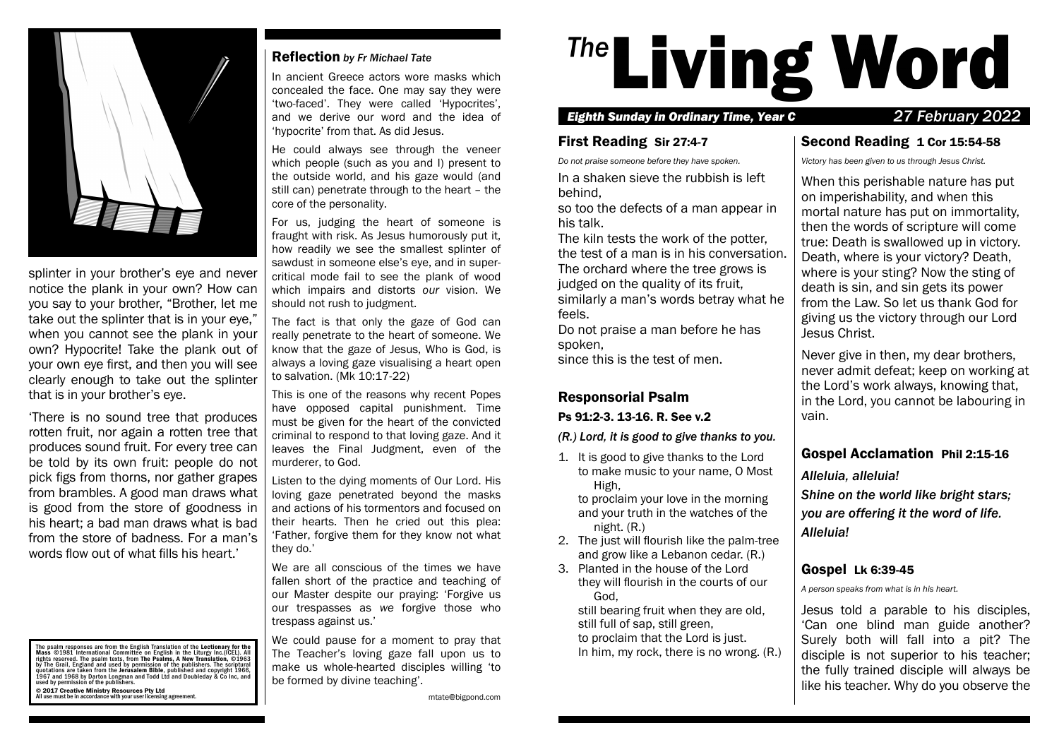

splinter in your brother's eye and never notice the plank in your own? How can you say to your brother, "Brother, let me take out the splinter that is in your eye." when you cannot see the plank in your own? Hypocrite! Take the plank out of your own eye first, and then you will see clearly enough to take out the splinter that is in your brother's eve.

'There is no sound tree that produces rotten fruit, nor again a rotten tree that produces sound fruit. For every tree can be told by its own fruit: people do not pick figs from thorns, nor gather grapes from brambles. A good man draws what is good from the store of goodness in his heart; a bad man draws what is bad from the store of badness. For a man's words flow out of what fills his heart.'

The psalm responses are from the English Translation of the Lectionary for the<br>Mass ©1981 International Committee on English in the Liturgy Inc.(ICEL). All rights reserved. The psalm texts, from The Psalms, A New Transilationi, ©1963<br>by The Grail, England and used by permission of the publishers. The scriptural<br>quotations are taken from the Jerusalem Bible, published and copy

#### © 2017 Creative Ministry Resources Pty Ltd All use must be in accordance with your user licensing agreement.

#### Reflection *by Fr Michael Tate*

In ancient Greece actors wore masks which concealed the face. One may say they were 'two-faced'. They were called 'Hypocrites', and we derive our word and the idea of 'hypocrite' from that. As did Jesus.

He could always see through the veneer which people (such as you and I) present to the outside world, and his gaze would (and still can) penetrate through to the heart – the core of the personality.

For us, judging the heart of someone is fraught with risk. As Jesus humorously put it, how readily we see the smallest splinter of sawdust in someone else's eye, and in supercritical mode fail to see the plank of wood which impairs and distorts *our* vision. We should not rush to judgment.

The fact is that only the gaze of God can really penetrate to the heart of someone. We know that the gaze of Jesus, Who is God, is always a loving gaze visualising a heart open to salvation. (Mk 10:17-22)

This is one of the reasons why recent Popes have opposed capital punishment. Time must be given for the heart of the convicted criminal to respond to that loving gaze. And it leaves the Final Judgment, even of the murderer, to God.

Listen to the dying moments of Our Lord. His loving gaze penetrated beyond the masks and actions of his tormentors and focused on their hearts. Then he cried out this plea: 'Father, forgive them for they know not what they do.'

We are all conscious of the times we have fallen short of the practice and teaching of our Master despite our praying: 'Forgive us our trespasses as *we* forgive those who trespass against us.'

We could pause for a moment to pray that The Teacher's loving gaze fall upon us to make us whole-hearted disciples willing 'to be formed by divine teaching'.

# <sup>The</sup>Living Word

#### *Eighth Sunday in Ordinary Time, Year C 27 February 2022*

## First Reading Sir 27:4-7

*Do not praise someone before they have spoken.*

In a shaken sieve the rubbish is left behind,

so too the defects of a man appear in his talk.

The kiln tests the work of the potter, the test of a man is in his conversation. The orchard where the tree grows is judged on the quality of its fruit,

similarly a man's words betray what he feels.

Do not praise a man before he has spoken,

since this is the test of men.

# Responsorial Psalm

#### Ps 91:2-3. 13-16. R. See v.2

*(R.) Lord, it is good to give thanks to you.*

1. It is good to give thanks to the Lord to make music to your name, O Most High,

to proclaim your love in the morning and your truth in the watches of the night. (R.)

- 2. The just will flourish like the palm-tree and grow like a Lebanon cedar. (R.)
- 3. Planted in the house of the Lord they will flourish in the courts of our God,

still bearing fruit when they are old, still full of sap, still green, to proclaim that the Lord is just. In him, my rock, there is no wrong. (R.)

## Second Reading 1 Cor 15:54-58

*Victory has been given to us through Jesus Christ.*

When this perishable nature has put on imperishability, and when this mortal nature has put on immortality, then the words of scripture will come true: Death is swallowed up in victory. Death, where is your victory? Death, where is your sting? Now the sting of death is sin, and sin gets its power from the Law. So let us thank God for giving us the victory through our Lord Jesus Christ.

Never give in then, my dear brothers, never admit defeat; keep on working at the Lord's work always, knowing that, in the Lord, you cannot be labouring in vain.

## Gospel Acclamation Phil 2:15-16

*Alleluia, alleluia!*

*Shine on the world like bright stars; you are offering it the word of life. Alleluia!*

# Gospel Lk 6:39-45

*A person speaks from what is in his heart.*

Jesus told a parable to his disciples, 'Can one blind man guide another? Surely both will fall into a pit? The disciple is not superior to his teacher; the fully trained disciple will always be like his teacher. Why do you observe the